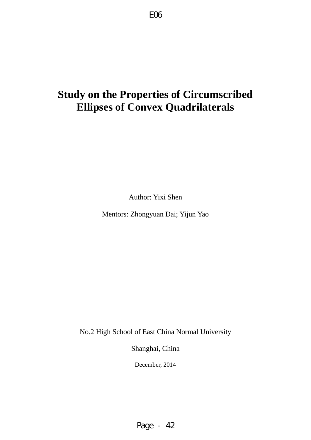# **Study on the Properties of Circumscribed Ellipses of Convex Quadrilaterals**

Author: Yixi Shen

Mentors: Zhongyuan Dai; Yijun Yao

No.2 High School of East China Normal University

Shanghai, China

December, 2014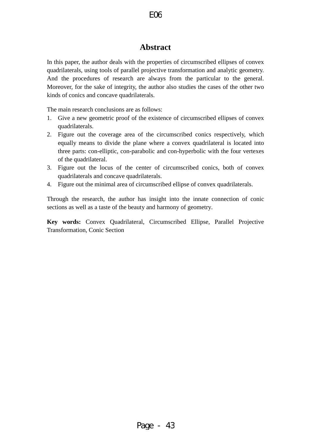# **Abstract**

In this paper, the author deals with the properties of circumscribed ellipses of [convex](app:ds:convex) [quadrilaterals](app:ds:quadrilateral), using tools of parallel projective transformation and analytic geometry. And the procedures of research are always from the particular to the general. Moreover, for the sake of integrity, the author also studies the cases of the other two kinds of conics and concave quadrilaterals.

The main research conclusions are as follows:

- 1. Give a new geometric proof of the existence of circumscribed ellipses of convex quadrilaterals.
- 2. Figure out the coverage area of the circumscribed conics respectively, which equally means to divide the plane where a convex quadrilateral is located into three parts: con-elliptic, con-parabolic and con-hyperbolic with the four vertexes of the quadrilateral.
- 3. Figure out the locus of the center of circumscribed conics, both of convex quadrilaterals and concave quadrilaterals.
- 4. Figure out the minimal area of circumscribed ellipse of convex quadrilaterals.

Through the research, the author has insight into the innate connection of conic sections as well as a taste of the beauty and harmony of geometry.

**Key words:** [Convex](app:ds:convex) [Quadrilateral,](app:ds:quadrilateral) Circumscribed Ellipse, Parallel Projective Transformation, Conic Section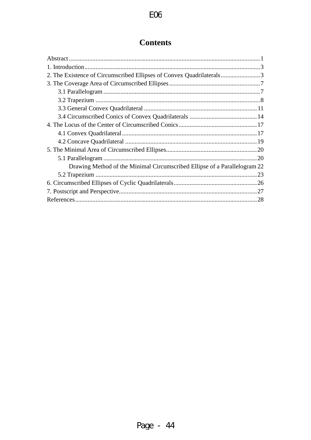# **Contents**

| 2. The Existence of Circumscribed Ellipses of Convex Quadrilaterals3      |
|---------------------------------------------------------------------------|
|                                                                           |
|                                                                           |
|                                                                           |
|                                                                           |
|                                                                           |
|                                                                           |
|                                                                           |
|                                                                           |
|                                                                           |
|                                                                           |
| Drawing Method of the Minimal Circumscribed Ellipse of a Parallelogram 22 |
|                                                                           |
|                                                                           |
|                                                                           |
|                                                                           |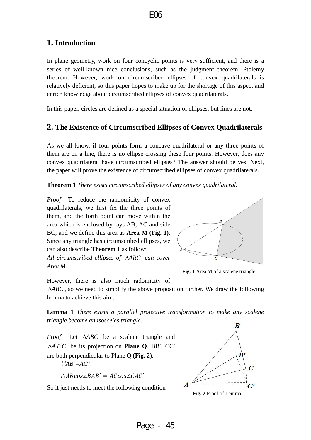# <span id="page-3-0"></span>**1. Introduction**

In plane geometry, work on four concyclic points is very sufficient, and there is a series of well-known nice conclusions, such as the judgment theorem, Ptolemy theorem. However, work on circumscribed ellipses of convex quadrilaterals is relatively deficient, so this paper hopes to make up for the shortage of this aspect and enrich knowledge about circumscribed ellipses of convex quadrilaterals.

<span id="page-3-1"></span>In this paper, circles are defined as a special situation of ellipses, but lines are not.

# **2. The Existence of Circumscribed Ellipses of Convex Quadrilaterals**

As we all know, if four points form a concave quadrilateral or any three points of them are on a line, there is no ellipse crossing these four points. However, does any convex quadrilateral have circumscribed ellipses? The answer should be yes. Next, the paper will prove the existence of circumscribed ellipses of convex quadrilaterals.

**Theorem 1** *There exists circumscribed ellipses of any convex quadrilateral.*

*Proof* To reduce the randomicity of convex quadrilaterals, we first fix the three points of them, and the forth point can move within the area which is enclosed by rays AB, AC and side BC, and we define this area as **Area M (Fig. 1)**. Since any triangle has circumscribed ellipses, we can also describe **Theorem 1** as follow: *All circumscribed ellipses of* ∆*ABC can cover Area M.*



**Fig. 1** Area M of a scalene triangle

However, there is also much radomicity of

∆*ABC* , so we need to simplify the above proposition further. We draw the following lemma to achieve this aim.

**Lemma 1** *There exists a parallel projective transformation to make any scalene triangle become an isosceles triangle.* 

*Proof* Let ∆*ABC* be a scalene triangle and  $\Delta A'B'C$  be its projection on **Plane Q**. BB', CC' are both perpendicular to Plane Q **(Fig. 2)**.

<sup>∵</sup>*AB'=AC'*

∴ $\overline{AB} \cos \angle BAB' = \overline{AC} \cos \angle CAC'$ 

So it just needs to meet the following condition



**Fig. 2** Proof of Lemma 1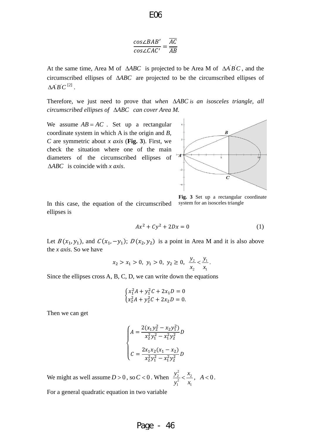E06

$$
\frac{cos\angle BAB'}{cos\angle CAC'} = \frac{\overline{AC}}{\overline{AB}}
$$

At the same time, Area M of Δ*ABC* is projected to be Area M of Δ*A'B'C*, and the circumscribed ellipses of ∆*ABC* are projected to be the circumscribed ellipses of  $\mathcal{A} \mathcal{B} \mathcal{C}^{[2]}$ .

Therefore, we just need to prove that *when* ∆*ABC is an isosceles triangle, all circumscribed ellipses of* ∆*ABC can cover Area M.*

We assume  $AB = AC$ . Set up a rectangular coordinate system in which A is the origin and *B, C* are symmetric about *x axis* (**Fig. 3**). First, we check the situation where one of the main diameters of the circumscribed ellipses of ∆*ABC* is coincide with *x axis*.



In this case, the equation of the circumscribed ellipses is

**Fig. 3** Set up a rectangular coordinate system for an isosceles triangle

$$
Ax^2 + Cy^2 + 2Dx = 0\tag{1}
$$

Let  $B(x_1, y_1)$ , and  $C(x_1, -y_1)$ ;  $D(x_2, y_2)$  is a point in Area M and it is also above the *x axis*. So we have

$$
x_2 > x_1 > 0
$$
,  $y_1 > 0$ ,  $y_2 \ge 0$ ,  $\frac{y_2}{x_2} < \frac{y_1}{x_1}$ .

Since the ellipses cross A, B, C, D, we can write down the equations

$$
\begin{cases} x_1^2 A + y_1^2 C + 2x_1 D = 0\\ x_2^2 A + y_2^2 C + 2x_2 D = 0. \end{cases}
$$

Then we can get

$$
\begin{cases} A = \frac{2(x_1y_2^2 - x_2y_1^2)}{x_2^2y_1^2 - x_1^2y_2^2}D \\ C = \frac{2x_1x_2(x_1 - x_2)}{x_2^2y_1^2 - x_1^2y_2^2}D \end{cases}
$$

We might as well assume  $D > 0$ , so  $C < 0$ . When 2 2  $\sim$   $\lambda_2$ 2  $\lambda_1$   $\lambda_1$  $y_2^2$  *x*  $y_1^2$  x  $\langle \frac{x_2}{x_1}, \ A \langle 0.$ 

For a general quadratic equation in two variable

### Page - 46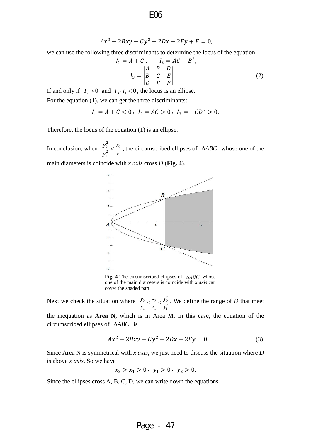E06

$$
Ax^2 + 2Bxy + Cy^2 + 2Dx + 2Ey + F = 0,
$$

we can use the following three discriminants to determine the locus of the equation:

$$
I_1 = A + C, \t I_2 = AC - B^2,
$$
  

$$
I_3 = \begin{vmatrix} A & B & D \\ B & C & E \\ D & E & F \end{vmatrix}.
$$
 (2)

If and only if  $I_2 > 0$  and  $I_3 \cdot I_1 < 0$ , the locus is an ellipse.

For the equation (1), we can get the three discriminants:

$$
I_1 = A + C < 0, \ I_2 = AC > 0, \ I_3 = -CD^2 > 0.
$$

Therefore, the locus of the equation (1) is an ellipse.

In conclusion, when 2  $\frac{2}{2}$   $\frac{\lambda_2}{2}$ 2  $\mathbf{1}$   $\mathbf{A}_1$  $y_2^2$  x  $y_1^2$  x  $\langle \frac{x_2}{x_1} \rangle$ , the circumscribed ellipses of ∆*ABC* whose one of the main diameters is coincide with *x axis* cross *D* (**Fig. 4**).



**Fig. 4** The circumscribed ellipses of  $\triangle ABC$  whose one of the main diameters is coincide with *x axis* can cover the shaded part

Next we check the situation where  $\frac{y_2}{y_1} < \frac{x_2}{x_1} < \frac{y_2^2}{y_1^2}$  $y_2$   $x_2$   $y$  $y_1$   $x_1$   $y_2$  $\langle \frac{x_2}{x_1}, \frac{y_2}{x_2}, \text{ We define the range of } D \text{ that meet }$ 

the inequation as **Area N**, which is in Area M. In this case, the equation of the circumscribed ellipses of ∆*ABC* is

$$
Ax^{2} + 2Bxy + Cy^{2} + 2Dx + 2Ey = 0.
$$
 (3)

Since Area N is symmetrical with *x axis*, we just need to discuss the situation where *D* is above *x axis*. So we have

$$
x_2 > x_1 > 0, y_1 > 0, y_2 > 0.
$$

Since the ellipses cross A, B, C, D, we can write down the equations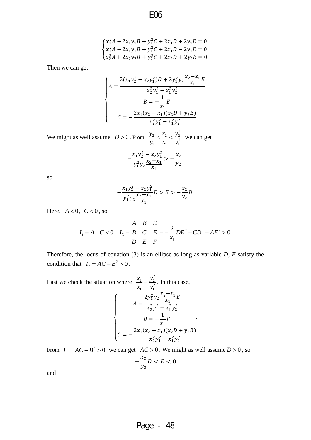$$
\begin{cases}\nx_1^2A + 2x_1y_1B + y_1^2C + 2x_1D + 2y_1E = 0 \\
x_1^2A - 2x_1y_1B + y_1^2C + 2x_1D - 2y_1E = 0 \\
x_2^2A + 2x_2y_2B + y_2^2C + 2x_2D + 2y_2E = 0\n\end{cases}
$$

Then we can get

$$
\begin{cases}\nA = \frac{2(x_1y_2^2 - x_2y_1^2)D + 2y_1^2y_2\frac{x_2 - x_1}{x_1}E}{x_2^2y_1^2 - x_1^2y_2^2} \\
B = -\frac{1}{x_1}E \\
C = -\frac{2x_1(x_2 - x_1)(x_2D + y_2E)}{x_2^2y_1^2 - x_1^2y_2^2}\n\end{cases}
$$

We might as well assume  $D > 0$ . From 2 2  $\sim$   $x_2$   $\sim$   $y_2$ 2  $1 \quad \lambda_1 \quad \lambda_1$  $y_2$   $x_2$   $y$  $y_1$   $x_1$   $y$  $\langle \frac{x_2}{x_1} \rangle \langle \frac{y_2}{y_2} \rangle$  we can get

$$
-\frac{x_1y_2^2 - x_2y_1^2}{y_1^2y_2\frac{x_2 - x_1}{x_1}} > -\frac{x_2}{y_2},
$$

so

$$
-\frac{x_1y_2^2 - x_2y_1^2}{y_1^2y_2\frac{x_2 - x_1}{x_1}}D > E > -\frac{x_2}{y_2}D.
$$

Here,  $A < 0$ ,  $C < 0$ , so

$$
I_1 = A + C < 0, \quad I_3 = \begin{vmatrix} A & B & D \\ B & C & E \\ D & E & F \end{vmatrix} = -\frac{2}{x_1}DE^2 - CD^2 - AE^2 > 0.
$$

Therefore, the locus of equation (3) is an ellipse as long as variable *D*, *E* satisfy the condition that  $I_2 = AC - B^2 > 0$ .

Last we check the situation where 2  $\frac{2}{2} - \frac{y_2}{x_1}$ 2  $1 \quad y_1$  $\frac{x_2}{x_1} = \frac{y_2^2}{y_1^2}$ . In this case,  $\overline{\phantom{a}}$  $\overline{\phantom{a}}$  $\frac{1}{2}$  $\vert$  $\overline{a}$  $A=$  $2y_1^2y_2\frac{x_2-x_1}{x_1}$  $\frac{1}{1}E$  $x_2^2y_1^2 - x_1^2y_2^2$  $=-\frac{1}{r}$  $\overline{1}$ E  $=-\frac{2x_1(x_2-x_1)(x_2D+y_2E)}{x_1^2x_2^2-x_1^2x_2^2}$  $x_1^2y_1^2 - x_1^2y_2^2$ .

From  $I_2 = AC - B^2 > 0$  we can get  $AC > 0$ . We might as well assume  $D > 0$ , so

$$
-\frac{x_2}{y_2}D < E < 0
$$

and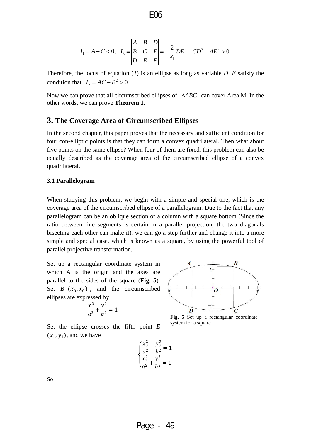$$
I_1 = A + C < 0, \quad I_3 = \begin{vmatrix} A & B & D \\ B & C & E \\ D & E & F \end{vmatrix} = -\frac{2}{x_1}DE^2 - CD^2 - AE^2 > 0.
$$

Therefore, the locus of equation (3) is an ellipse as long as variable *D*, *E* satisfy the condition that  $I_2 = AC - B^2 > 0$ .

Now we can prove that all circumscribed ellipses of ∆*ABC* can cover Area M. In the other words, we can prove **Theorem 1**.

### <span id="page-7-0"></span>**3. The Coverage Area of Circumscribed Ellipses**

In the second chapter, this paper proves that the necessary and sufficient condition for four con-elliptic points is that they can form a convex quadrilateral. Then what about five points on the same ellipse? When four of them are fixed, this problem can also be equally described as the coverage area of the circumscribed ellipse of a convex quadrilateral.

### <span id="page-7-1"></span>**3.1 Parallelogram**

When studying this problem, we begin with a simple and special one, which is the coverage area of the circumscribed ellipse of a parallelogram. Due to the fact that any parallelogram can be an oblique section of a column with a square bottom (Since the ratio between line segments is certain in a parallel projection, the two diagonals bisecting each other can make it), we can go a step further and change it into a more simple and special case, which is known as a square, by using the powerful tool of parallel projective transformation.

Set up a rectangular coordinate system in which A is the origin and the axes are parallel to the sides of the square (**Fig. 5**). Set *B*  $(x_0, x_0)$ , and the circumscribed ellipses are expressed by

$$
\frac{x^2}{a^2} + \frac{y^2}{b^2} = 1.
$$

Set the ellipse crosses the fifth point *E*   $(x_1, y_1)$ , and we have

$$
\begin{cases} \frac{x_0^2}{a^2} + \frac{y_0^2}{b^2} = 1\\ \frac{x_1^2}{a^2} + \frac{y_1^2}{b^2} = 1. \end{cases}
$$



**Fig. 5** Set up a rectangular coordinate system for a square

So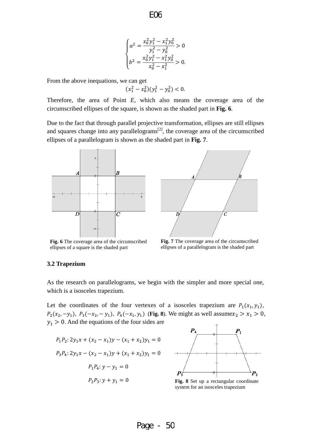$$
\begin{cases} a^2 = \frac{x_0^2 y_1^2 - x_1^2 y_0^2}{y_1^2 - y_0^2} > 0 \\ b^2 = \frac{x_0^2 y_1^2 - x_1^2 y_0^2}{x_0^2 - x_1^2} > 0. \end{cases}
$$

From the above inequations, we can get

$$
(x_1^2 - x_0^2)(y_1^2 - y_0^2) < 0.
$$

Therefore, the area of Point *E*, which also means the coverage area of the circumscribed ellipses of the square, is shown as the shaded part in **Fig. 6**.

Due to the fact that through parallel projective transformation, ellipses are still ellipses and squares change into any parallelograms $^{[2]}$ , the coverage area of the circumscribed ellipses of a parallelogram is shown as the shaded part in **Fig. 7**.



**Fig. 6** The coverage area of the circumscribed ellipses of a square is the shaded part



**Fig. 7** The coverage area of the circumscribed ellipses of a parallelogram is the shaded part

#### <span id="page-8-0"></span>**3.2 Trapezium**

As the research on parallelograms, we begin with the simpler and more special one, which is a isosceles trapezium.

Let the coordinates of the four vertexes of a isosceles trapezium are  $P_1(x_1, y_1)$ ,  $P_2(x_2, -y_1)$ ,  $P_3(-x_2, -y_1)$ ,  $P_4(-x_1, y_1)$  (**Fig. 8**). We might as well assume  $x_2 > x_1 > 0$ ,  $y_1 > 0$ . And the equations of the four sides are

$$
P_1 P_2: 2y_1 x + (x_2 - x_1) y - (x_1 + x_2) y_1 = 0
$$
  

$$
P_3 P_4: 2y_1 x - (x_2 - x_1) y + (x_1 + x_2) y_1 = 0
$$
  

$$
P_1 P_4: y - y_1 = 0
$$
  

$$
P_2 P_3: y + y_1 = 0
$$



**Fig. 8** Set up a rectangular coordinate system for an isosceles trapezium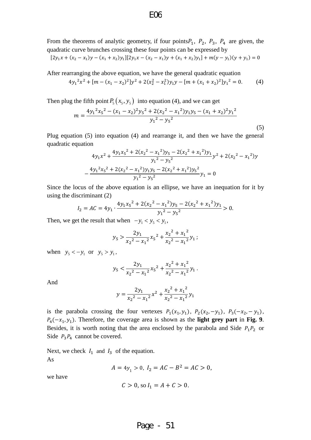From the theorems of analytic geometry, if four points $P_1$ ,  $P_2$ ,  $P_3$ ,  $P_4$  are given, the quadratic curve brunches crossing these four points can be expressed by

$$
[2y_1x + (x_2 - x_1)y - (x_1 + x_2)y_1][2y_1x - (x_2 - x_1)y + (x_1 + x_2)y_1] + m(y - y_1)(y + y_1) = 0
$$

After rearranging the above equation, we have the general quadratic equation

$$
4y_1^2x^2 + [m - (x_1 - x_2)^2]y^2 + 2(x_2^2 - x_1^2)y_1y - [m + (x_1 + x_2)^2]y_1^2 = 0.
$$
 (4)

Then plug the fifth point  $P_5(x_5, y_5)$  into equation (4), and we can get

$$
m = \frac{4y_1^2x_5^2 - (x_1 - x_2)^2y_5^2 + 2(x_2^2 - x_1^2)y_1y_5 - (x_1 + x_2)^2y_1^2}{y_1^2 - y_5^2}
$$
\n(5)

Plug equation (5) into equation (4) and rearrange it, and then we have the general quadratic equation

$$
4y_1x^2 + \frac{4y_1x_5^2 + 2(x_2^2 - x_1^2)y_5 - 2(x_2^2 + x_1^2)y_1}{y_1^2 - y_5^2}y^2 + 2(x_2^2 - x_1^2)y_1
$$

$$
-\frac{4y_1^2x_5^2 + 2(x_2^2 - x_1^2)y_1y_5 - 2(x_2^2 + x_1^2)y_5^2}{y_1^2 - y_5^2}y_1 = 0
$$

Since the locus of the above equation is an ellipse, we have an inequation for it by using the discriminant (2)

$$
I_2 = AC = 4y_1 \cdot \frac{4y_1x_5^2 + 2(x_2^2 - x_1^2)y_5 - 2(x_2^2 + x_1^2)y_1}{y_1^2 - y_5^2} > 0.
$$

Then, we get the result that when  $-y_1 < y_5 < y_1$ ,

$$
y_5 > \frac{2y_1}{x_2^2 - x_1^2} x_5^2 + \frac{x_2^2 + x_1^2}{x_2^2 - x_1^2} y_1 ;
$$

when  $y_5 < -y_1$  or  $y_5 > y_1$ ,

$$
y_5 < \frac{2y_1}{x_2^2 - x_1^2} x_5^2 + \frac{x_2^2 + x_1^2}{x_2^2 - x_1^2} y_1.
$$

And

$$
y = \frac{2y_1}{x_2^2 - x_1^2}x^2 + \frac{x_2^2 + x_1^2}{x_2^2 - x_1^2}y_1
$$

is the parabola crossing the four vertexes  $P_1(x_1, y_1)$ ,  $P_2(x_2, -y_1)$ ,  $P_3(-x_2, -y_1)$ ,  $P_4(-x_1, y_1)$ . Therefore, the coverage area is shown as the **light grey part** in **Fig. 9**. Besides, it is worth noting that the area enclosed by the parabola and Side  $P_1P_2$  or Side  $P_3P_4$  cannot be covered.

Next, we check  $I_1$  and  $I_3$  of the equation. As

$$
A = 4y_1 > 0, I_2 = AC - B^2 = AC > 0,
$$

we have

$$
C > 0
$$
, so  $I_1 = A + C > 0$ .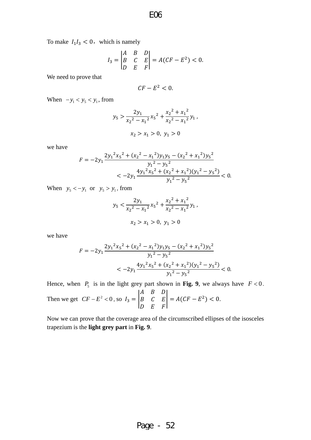To make  $I_1I_3 < 0$ , which is namely

$$
I_3 = \begin{vmatrix} A & B & D \\ B & C & E \\ D & E & F \end{vmatrix} = A(CF - E^2) < 0.
$$

We need to prove that

$$
CF - E^2 < 0.
$$

When  $-y_1 < y_5 < y_1$ , from

$$
y_5 > \frac{2y_1}{x_2^2 - x_1^2} x_5^2 + \frac{x_2^2 + x_1^2}{x_2^2 - x_1^2} y_1,
$$
  

$$
x_2 > x_1 > 0, y_1 > 0
$$

we have

$$
F = -2y_1 \frac{2y_1^2x_5^2 + (x_2^2 - x_1^2)y_1y_5 - (x_2^2 + x_1^2)y_5^2}{y_1^2 - y_5^2}
$$
  
< 
$$
< -2y_1 \frac{4y_1^2x_5^2 + (x_2^2 + x_1^2)(y_1^2 - y_5^2)}{y_1^2 - y_5^2} < 0.
$$

When  $y_5 < -y_1$  or  $y_5 > y_1$ , from

$$
y_5 < \frac{2y_1}{x_2^2 - x_1^2} x_5^2 + \frac{x_2^2 + x_1^2}{x_2^2 - x_1^2} y_1,
$$
  

$$
x_2 > x_1 > 0, y_1 > 0
$$

we have

$$
F = -2y_1 \frac{2y_1^2x_5^2 + (x_2^2 - x_1^2)y_1y_5 - (x_2^2 + x_1^2)y_5^2}{y_1^2 - y_5^2}
$$
  
< 
$$
< -2y_1 \frac{4y_1^2x_5^2 + (x_2^2 + x_1^2)(y_1^2 - y_5^2)}{y_1^2 - y_5^2} < 0.
$$

Hence, when  $P_5$  is in the light grey part shown in **Fig. 9**, we always have  $F < 0$ .

Then we get 
$$
CF - E^2 < 0
$$
, so  $I_3 = \begin{vmatrix} A & B & D \\ B & C & E \\ D & E & F \end{vmatrix} = A(CF - E^2) < 0$ .

Now we can prove that the coverage area of the circumscribed ellipses of the isosceles trapezium is the **light grey part** in **Fig. 9**.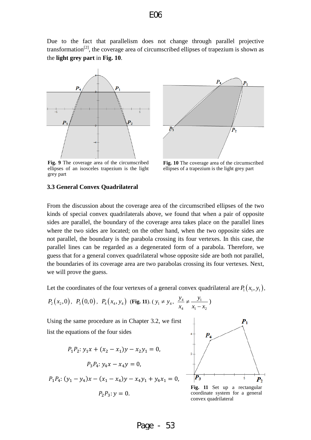Due to the fact that parallelism does not change through parallel projective transformation[2], the coverage area of circumscribed ellipses of trapezium is shown as the **light grey part** in **Fig. 10**.



**Fig. 9** The coverage area of the circumscribed ellipses of an isosceles trapezium is the light grey part



**Fig. 10** The coverage area of the circumscribed ellipses of a trapezium is the light grey part

#### <span id="page-11-0"></span>**3.3 General Convex Quadrilateral**

From the discussion about the coverage area of the circumscribed ellipses of the two kinds of special convex quadrilaterals above, we found that when a pair of opposite sides are parallel, the boundary of the coverage area takes place on the parallel lines where the two sides are located; on the other hand, when the two opposite sides are not parallel, the boundary is the parabola crossing its four vertexes. In this case, the parallel lines can be regarded as a degenerated form of a parabola. Therefore, we guess that for a general convex quadrilateral whose opposite side are both not parallel, the boundaries of its coverage area are two parabolas crossing its four vertexes. Next, we will prove the guess.

Let the coordinates of the four vertexes of a general convex quadrilateral are  $P_1(x_1, y_1)$ ,

$$
P_2(x_2,0), P_3(0,0), P_4(x_4, y_4)
$$
 (Fig. 11).  $(y_1 \neq y_4, \frac{y_4}{x_4} \neq \frac{y_1}{x_1 - x_2})$ 

Using the same procedure as in Chapter 3.2, we first list the equations of the four sides

$$
P_1 P_2: y_1 x + (x_2 - x_1) y - x_2 y_1 = 0,
$$
  

$$
P_3 P_4: y_4 x - x_4 y = 0,
$$

$$
P_1P_4: (y_1 - y_4)x - (x_1 - x_4)y - x_4y_1 + y_4x_1 = 0,
$$

$$
P_2P_3: y=0.
$$



**Fig. 11** Set up a rectangular coordinate system for a general convex quadrilateral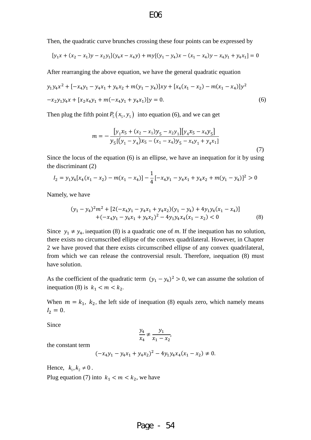Then, the quadratic curve brunches crossing these four points can be expressed by

$$
[y_1x + (x_2 - x_1)y - x_2y_1](y_4x - x_4y) + my[(y_1 - y_4)x - (x_1 - x_4)y - x_4y_1 + y_4x_1] = 0
$$

After rearranging the above equation, we have the general quadratic equation

$$
y_1 y_4 x^2 + [-x_4 y_1 - y_4 x_1 + y_4 x_2 + m(y_1 - y_4)]xy + [x_4 (x_1 - x_2) - m(x_1 - x_4)]y^2
$$
  

$$
-x_2 y_1 y_4 x + [x_2 x_4 y_1 + m(-x_4 y_1 + y_4 x_1)]y = 0.
$$
 (6)

Then plug the fifth point  $P_5(x_5, y_5)$  into equation (6), and we can get

$$
m = -\frac{[y_1x_5 + (x_2 - x_1)y_5 - x_2y_1][y_4x_5 - x_4y_5]}{y_5[(y_1 - y_4)x_5 - (x_1 - x_4)y_5 - x_4y_1 + y_4x_1]}
$$
\n(7)

Since the locus of the equation (6) is an ellipse, we have an inequation for it by using the discriminant (2)

$$
I_2 = y_1 y_4 [x_4(x_1 - x_2) - m(x_1 - x_4)] - \frac{1}{4} [-x_4 y_1 - y_4 x_1 + y_4 x_2 + m(y_1 - y_4)]^2 > 0
$$

Namely, we have

$$
(y_1 - y_4)^2 m^2 + [2(-x_4y_1 - y_4x_1 + y_4x_2)(y_1 - y_4) + 4y_1y_4(x_1 - x_4)]
$$
  
+ 
$$
(-x_4y_1 - y_4x_1 + y_4x_2)^2 - 4y_1y_4x_4(x_1 - x_2) < 0
$$
 (8)

Since  $y_1 \neq y_4$ , inequation (8) is a quadratic one of *m*. If the inequation has no solution, there exists no circumscribed ellipse of the convex quadrilateral. However, in Chapter 2 we have proved that there exists circumscribed ellipse of any convex quadrilateral, from which we can release the controversial result. Therefore, inequation (8) must have solution.

As the coefficient of the quadratic term  $(y_1 - y_4)^2 > 0$ , we can assume the solution of inequation (8) is  $k_1 < m < k_2$ .

When  $m = k_1$ ,  $k_2$ , the left side of inequation (8) equals zero, which namely means  $I_2 = 0.$ 

Since

$$
\frac{y_4}{x_4} \neq \frac{y_1}{x_1 - x_2},
$$

the constant term

$$
(-x_4y_1 - y_4x_1 + y_4x_2)^2 - 4y_1y_4x_4(x_1 - x_2) \neq 0.
$$

Hence,  $k_1, k_2 \neq 0$ . Plug equation (7) into  $k_1 < m < k_2$ , we have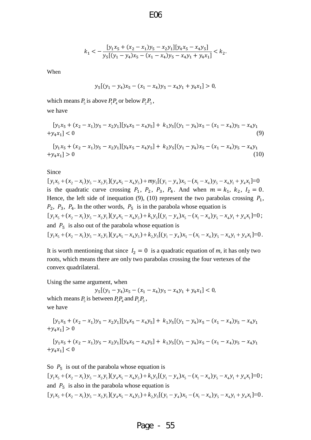$$
k_1 < -\frac{[y_1x_5 + (x_2 - x_1)y_5 - x_2y_1][y_4x_5 - x_4y_5]}{y_5[(y_1 - y_4)x_5 - (x_1 - x_4)y_5 - x_4y_1 + y_4x_1]} < k_2.
$$

When

$$
y_5[(y_1 - y_4)x_5 - (x_1 - x_4)y_5 - x_4y_1 + y_4x_1] > 0,
$$

which means  $P_5$  is above  $P_1P_4$  or below  $P_2P_3$ ,

we have

$$
[y_1x_5 + (x_2 - x_1)y_5 - x_2y_1][y_4x_5 - x_4y_5] + k_1y_5[(y_1 - y_4)x_5 - (x_1 - x_4)y_5 - x_4y_1 + y_4x_1] < 0
$$
\n(9)

$$
[y_1x_5 + (x_2 - x_1)y_5 - x_2y_1][y_4x_5 - x_4y_5] + k_2y_5[(y_1 - y_4)x_5 - (x_1 - x_4)y_5 - x_4y_1 + y_4x_1] > 0
$$
\n(10)

Since

 $[y_1 x_5 + (x_2 - x_1) y_5 - x_2 y_1](y_4 x_5 - x_4 y_5) + m y_5[(y_1 - y_4) x_5 - (x_1 - x_4) y_5 - x_4 y_1 + y_4 x_1] = 0$ is the quadratic curve crossing  $P_1$ ,  $P_2$ ,  $P_3$ ,  $P_4$ . And when  $m = k_1$ ,  $k_2$ ,  $I_2 = 0$ . Hence, the left side of inequation (9), (10) represent the two parabolas crossing  $P_1$ ,  $P_2$ ,  $P_3$ ,  $P_4$ . In the other words,  $P_5$  is in the parabola whose equation is  $[y_1 x_5 + (x_2 - x_1) y_5 - x_2 y_1](y_4 x_5 - x_4 y_5) + k_1 y_5[(y_1 - y_4) x_5 - (x_1 - x_4) y_5 - x_4 y_1 + y_4 x_1] = 0;$ and  $P_5$  is also out of the parabola whose equation is  $[y_1 x_5 + (x_2 - x_1) y_5 - x_2 y_1](y_4 x_5 - x_4 y_5) + k_2 y_5[(y_1 - y_4) x_5 - (x_1 - x_4) y_5 - x_4 y_1 + y_4 x_1] = 0.$ 

It is worth mentioning that since  $I_2 = 0$  is a quadratic equation of m, it has only two roots, which means there are only two parabolas crossing the four vertexes of the convex quadrilateral.

Using the same argument, when

 $y_5[(y_1 - y_4)x_5 - (x_1 - x_4)y_5 - x_4y_1 + y_4x_1] < 0$ , which means  $P_5$  is between  $P_1P_4$  and  $P_2P_3$ , we have

$$
[y_1x_5 + (x_2 - x_1)y_5 - x_2y_1][y_4x_5 - x_4y_5] + k_1y_5[(y_1 - y_4)x_5 - (x_1 - x_4)y_5 - x_4y_1 + y_4x_1] > 0
$$

$$
[y_1x_5 + (x_2 - x_1)y_5 - x_2y_1][y_4x_5 - x_4y_5] + k_1y_5[(y_1 - y_4)x_5 - (x_1 - x_4)y_5 - x_4y_1 + y_4x_1] < 0
$$

So  $P_5$  is out of the parabola whose equation is  $[y_1 x_5 + (x_2 - x_1) y_5 - x_2 y_1](y_4 x_5 - x_4 y_5) + k_1 y_5[(y_1 - y_4) x_5 - (x_1 - x_4) y_5 - x_4 y_1 + y_4 x_1] = 0;$ and  $P_5$  is also in the parabola whose equation is  $[y_1 x_5 + (x_2 - x_1) y_5 - x_2 y_1](y_4 x_5 - x_4 y_5) + k_2 y_5[(y_1 - y_4) x_5 - (x_1 - x_4) y_5 - x_4 y_1 + y_4 x_1] = 0.$ 

### Page - 55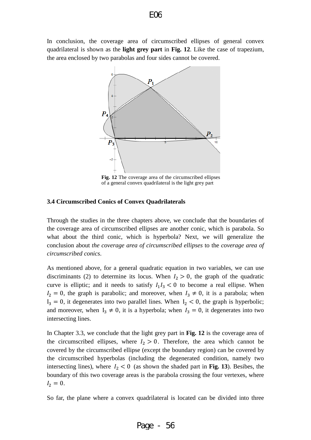In conclusion, the coverage area of circumscribed ellipses of general convex quadrilateral is shown as the **light grey part** in **Fig. 12**. Like the case of trapezium, the area enclosed by two parabolas and four sides cannot be covered.



**Fig. 12** The coverage area of the circumscribed ellipses of a general convex quadrilateral is the light grey part

### <span id="page-14-0"></span>**3.4 Circumscribed Conics of Convex Quadrilaterals**

Through the studies in the three chapters above, we conclude that the boundaries of the coverage area of circumscribed ellipses are another conic, which is parabola. So what about the third conic, which is hyperbola? Next, we will generalize the conclusion about *the coverage area of circumscribed ellipses* to the *coverage area of circumscribed conics*.

As mentioned above, for a general quadratic equation in two variables, we can use discriminants (2) to determine its locus. When  $I_2 > 0$ , the graph of the quadratic curve is elliptic; and it needs to satisfy  $I_1I_3 < 0$  to become a real ellipse. When  $I_2 = 0$ , the graph is parabolic; and moreover, when  $I_3 \neq 0$ , it is a parabola; when  $I_3 = 0$ , it degenerates into two parallel lines. When  $I_2 < 0$ , the graph is hyperbolic; and moreover, when  $I_3 \neq 0$ , it is a hyperbola; when  $I_3 = 0$ , it degenerates into two intersecting lines.

In Chapter 3.3, we conclude that the light grey part in **Fig. 12** is the coverage area of the circumscribed ellipses, where  $I_2 > 0$ . Therefore, the area which cannot be covered by the circumscribed ellipse (except the boundary region) can be covered by the circumscribed hyperbolas (including the degenerated condition, namely two intersecting lines), where  $I_2 < 0$  (as shown the shaded part in Fig. 13). Besibes, the boundary of this two coverage areas is the parabola crossing the four vertexes, where  $I_2 = 0.$ 

So far, the plane where a convex quadrilateral is located can be divided into three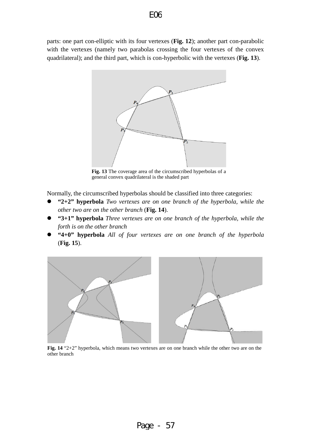parts: one part con-elliptic with its four vertexes (**Fig. 12**); another part con-parabolic with the vertexes (namely two parabolas crossing the four vertexes of the convex quadrilateral); and the third part, which is con-hyperbolic with the vertexes (**Fig. 13**).



**Fig. 13** The coverage area of the circumscribed hyperbolas of a general convex quadrilateral is the shaded part

Normally, the circumscribed hyperbolas should be classified into three categories:

- **"2+2" hyperbola** *Two vertexes are on one branch of the hyperbola, while the other two are on the other branch* (**Fig. 14**).
- **"3+1" hyperbola** *Three vertexes are on one branch of the hyperbola, while the forth is on the other branch*
- **"4+0" hyperbola** *All of four vertexes are on one branch of the hyperbola*  (**Fig. 15**).



**Fig. 14** "2+2" hyperbola, which means two vertexes are on one branch while the other two are on the other branch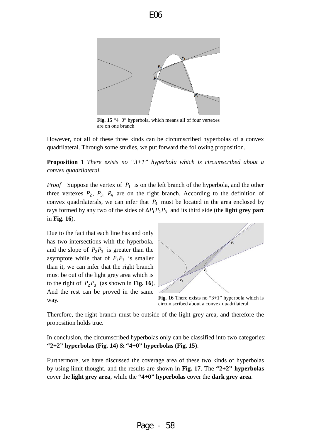



**Fig. 15** "4+0" hyperbola, which means all of four vertexes are on one branch

However, not all of these three kinds can be circumscribed hyperbolas of a convex quadrilateral. Through some studies, we put forward the following proposition.

**Proposition 1** *There exists no "3+1" hyperbola which is circumscribed about a convex quadrilateral.*

*Proof* Suppose the vertex of  $P_1$  is on the left branch of the hyperbola, and the other three vertexes  $P_2$ ,  $P_3$ ,  $P_4$  are on the right branch. According to the definition of convex quadrilaterals, we can infer that  $P_4$  must be located in the area enclosed by rays formed by any two of the sides of  $\Delta P_1 P_2 P_3$  and its third side (the **light grey part** in **Fig. 16**).

Due to the fact that each line has and only has two intersections with the hyperbola, and the slope of  $P_2P_3$  is greater than the asymptote while that of  $P_1P_3$  is smaller than it, we can infer that the right branch must be out of the light grey area which is to the right of  $P_2P_3$  (as shown in **Fig. 16**). And the rest can be proved in the same way.



**Fig. 16** There exists no "3+1" hyperbola which is circumscribed about a convex quadrilateral

Therefore, the right branch must be outside of the light grey area, and therefore the proposition holds true.

In conclusion, the circumscribed hyperbolas only can be classified into two categories: **"2+2" hyperbolas** (**Fig. 14**) & **"4+0" hyperbolas** (**Fig. 15**).

Furthermore, we have discussed the coverage area of these two kinds of hyperbolas by using limit thought, and the results are shown in **Fig. 17**. The **"2+2" hyperbolas** cover the **light grey area**, while the **"4+0" hyperbolas** cover the **dark grey area**.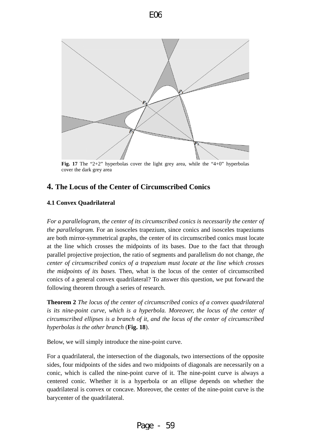

**Fig. 17** The "2+2" hyperbolas cover the light grey area, while the "4+0" hyperbolas cover the dark grey area

# <span id="page-17-0"></span>**4. The Locus of the Center of Circumscribed Conics**

## <span id="page-17-1"></span>**4.1 Convex Quadrilateral**

*For a parallelogram, the center of its circumscribed conics is necessarily the center of the parallelogram.* For an isosceles trapezium, since conics and isosceles trapeziums are both mirror-symmetrical graphs, the center of its circumscribed conics must locate at the line which crosses the midpoints of its bases. Due to the fact that through parallel projective projection, the ratio of segments and parallelism do not change, *the center of circumscribed conics of a trapezium must locate at the line which crosses the midpoints of its bases.* Then, what is the locus of the center of circumscribed conics of a general convex quadrilateral? To answer this question, we put forward the following theorem through a series of research.

**Theorem 2** *The locus of the center of circumscribed conics of a convex quadrilateral is its nine-point curve, which is a hyperbola. Moreover, the locus of the center of circumscribed ellipses is a branch of it, and the locus of the center of circumscribed hyperbolas is the other branch* (**Fig. 18**).

Below, we will simply introduce the nine-point curve.

For a quadrilateral, the intersection of the diagonals, two intersections of the opposite sides, four midpoints of the sides and two midpoints of diagonals are necessarily on a conic, which is called the nine-point curve of it. The nine-point curve is always a centered conic. Whether it is a hyperbola or an ellipse depends on whether the quadrilateral is convex or concave. Moreover, the center of the nine-point curve is the barycenter of the quadrilateral.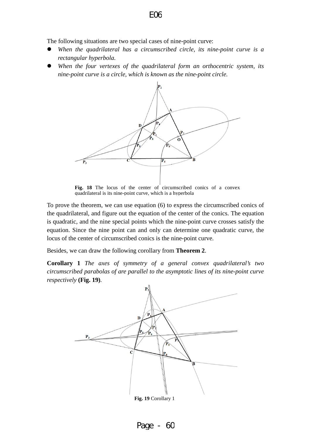The following situations are two special cases of nine-point curve:

- *When the quadrilateral has a circumscribed circle, its nine-point curve is a rectangular hyperbola.*
- *When the four vertexes of the quadrilateral form an orthocentric system, its nine-point curve is a circle, which is known as the nine-point circle.*



Fig. 18 The locus of the center of circumscribed conics of a convex quadrilateral is its nine-point curve, which is a hyperbola

To prove the theorem, we can use equation (6) to express the circumscribed conics of the quadrilateral, and figure out the equation of the center of the conics. The equation is quadratic, and the nine special points which the nine-point curve crosses satisfy the equation. Since the nine point can and only can determine one quadratic curve, the locus of the center of circumscribed conics is the nine-point curve.

Besides, we can draw the following corollary from **Theorem 2**.

**Corollary 1** *The axes of symmetry of a general convex quadrilateral's two circumscribed parabolas of are parallel to the asymptotic lines of its nine-point curve respectively* **(Fig. 19)***.*



Page - 60

E06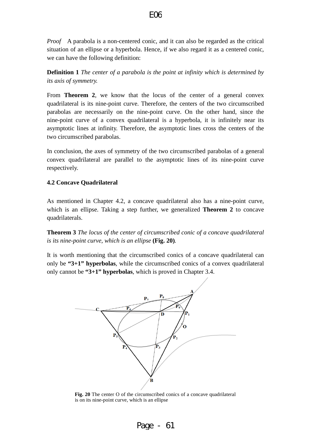*Proof* A parabola is a non-centered conic, and it can also be regarded as the critical situation of an ellipse or a hyperbola. Hence, if we also regard it as a centered conic, we can have the following definition:

**Definition 1** *The center of a parabola is the point at infinity which is determined by its axis of symmetry.*

From **Theorem 2**, we know that the locus of the center of a general convex quadrilateral is its nine-point curve. Therefore, the centers of the two circumscribed parabolas are necessarily on the nine-point curve. On the other hand, since the nine-point curve of a convex quadrilateral is a hyperbola, it is infinitely near its asymptotic lines at infinity. Therefore, the asymptotic lines cross the centers of the two circumscribed parabolas.

In conclusion, the axes of symmetry of the two circumscribed parabolas of a general convex quadrilateral are parallel to the asymptotic lines of its nine-point curve respectively.

### <span id="page-19-0"></span>**4.2 Concave Quadrilateral**

As mentioned in Chapter 4.2, a concave quadrilateral also has a nine-point curve, which is an ellipse. Taking a step further, we generalized **Theorem 2** to concave quadrilaterals.

**Theorem 3** *The locus of the center of circumscribed conic of a concave quadrilateral is its nine-point curve, which is an ellipse* **(Fig. 20)***.* 

It is worth mentioning that the circumscribed conics of a concave quadrilateral can only be **"3+1" hyperbolas**, while the circumscribed conics of a convex quadrilateral only cannot be **"3+1" hyperbolas**, which is proved in Chapter 3.4.



**Fig. 20** The center O of the circumscribed conics of a concave quadrilateral is on its nine-point curve, which is an ellipse

Page - 61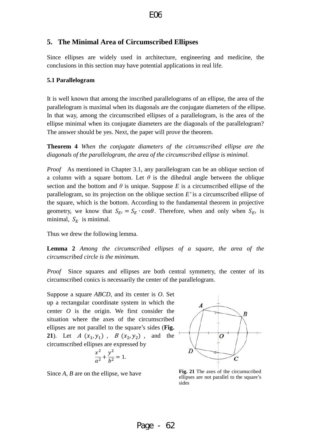### <span id="page-20-0"></span>**5. The Minimal Area of Circumscribed Ellipses**

Since ellipses are widely used in architecture, engineering and medicine, the conclusions in this section may have potential applications in real life.

### <span id="page-20-1"></span>**5.1 Parallelogram**

It is well known that among the inscribed parallelograms of an ellipse, the area of the parallelogram is maximal when its diagonals are the conjugate diameters of the ellipse. In that way, among the circumscribed ellipses of a parallelogram, is the area of the ellipse minimal when its conjugate diameters are the diagonals of the parallelogram? The answer should be yes. Next, the paper will prove the theorem.

**Theorem 4** *When the conjugate diameters of the circumscribed ellipse are the diagonals of the parallelogram, the area of the circumscribed ellipse is minimal.*

*Proof* As mentioned in Chapter 3.1, any parallelogram can be an oblique section of a column with a square bottom. Let  $\theta$  is the dihedral angle between the oblique section and the bottom and  $\theta$  is unique. Suppose *E* is a circumscribed ellipse of the parallelogram, so its projection on the oblique section *E'* is a circumscribed ellipse of the square, which is the bottom. According to the fundamental theorem in projective geometry, we know that  $S_{E} = S_E \cdot \cos\theta$ . Therefore, when and only when  $S_{E}$  is minimal,  $S_E$  is minimal.

Thus we drew the following lemma.

**Lemma 2** *Among the circumscribed ellipses of a square, the area of the circumscribed circle is the minimum.*

*Proof* Since squares and ellipses are both central symmetry, the center of its circumscribed conics is necessarily the center of the parallelogram.

Suppose a square *ABCD*, and its center is *O*. Set up a rectangular coordinate system in which the center *O* is the origin. We first consider the situation where the axes of the circumscribed ellipses are not parallel to the square's sides (**Fig. 21**). Let  $A(x_1, y_1)$ ,  $B(x_2, y_2)$ , and the circumscribed ellipses are expressed by

$$
\frac{x^2}{a^2} + \frac{y^2}{b^2} = 1.
$$



Since  $A$ ,  $B$  are on the ellipse, we have **Fig. 21** The axes of the circumscribed ellipses are not parallel to the square's sides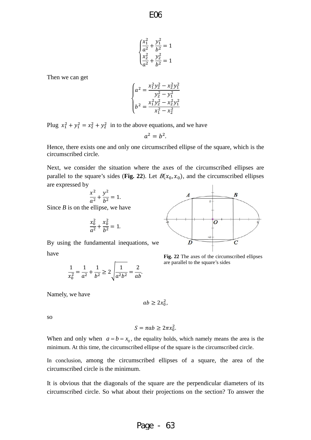E06

$$
\begin{cases} \frac{x_1^2}{a^2} + \frac{y_1^2}{b^2} = 1\\ \frac{x_2^2}{a^2} + \frac{y_2^2}{b^2} = 1 \end{cases}
$$

Then we can get

$$
\begin{cases}\na^2 = \frac{x_1^2 y_2^2 - x_2^2 y_1^2}{y_2^2 - y_1^2} \\
b^2 = \frac{x_1^2 y_2^2 - x_2^2 y_1^2}{x_1^2 - x_2^2}\n\end{cases}
$$

Plug  $x_1^2 + y_1^2 = x_2^2 + y_2^2$  in to the above equations, and we have

$$
a^2 = b^2.
$$

Hence, there exists one and only one circumscribed ellipse of the square, which is the circumscribed circle.

Next, we consider the situation where the axes of the circumscribed ellipses are parallel to the square's sides (**Fig. 22**). Let  $B(x_0, x_0)$ , and the circumscribed ellipses are expressed by

$$
\frac{x^2}{a^2} + \frac{y^2}{b^2} = 1.
$$

Since *B* is on the ellipse, we have

$$
\frac{x_0^2}{a^2} + \frac{x_0^2}{b^2} = 1.
$$

By using the fundamental inequations, we have

$$
\frac{1}{x_0^2} = \frac{1}{a^2} + \frac{1}{b^2} \ge 2\sqrt{\frac{1}{a^2 b^2}} = \frac{2}{ab}.
$$

Namely, we have

$$
ab \geq 2x_0^2
$$

so

$$
S = \pi ab \ge 2\pi x_0^2.
$$

When and only when  $a = b = x_0$ , the equality holds, which namely means the area is the minimum. At this time, the circumscribed ellipse of the square is the circumscribed circle.

In conclusion, among the circumscribed ellipses of a square, the area of the circumscribed circle is the minimum.

It is obvious that the diagonals of the square are the perpendicular diameters of its circumscribed circle. So what about their projections on the section? To answer the



**Fig. 22** The axes of the circumscribed ellipses are parallel to the square's sides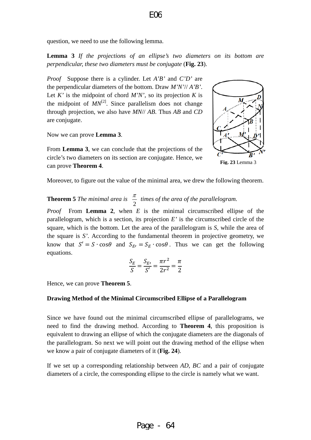question, we need to use the following lemma.

**Lemma 3** *If the projections of an ellipse's two diameters on its bottom are perpendicular, these two diameters must be conjugate* (**Fig. 23**).

*Proof* Suppose there is a cylinder. Let *A'B'* and *C'D'* are the perpendicular diameters of the bottom. Draw *M'N'*// *A'B'*. Let  $K'$  is the midpoint of chord  $M'N'$ , so its projection  $K$  is the midpoint of  $MN^{[2]}$ . Since parallelism does not change through projection, we also have *MN*// *AB*. Thus *AB* and *CD* are conjugate.

Now we can prove **Lemma 3**.

From **Lemma 3**, we can conclude that the projections of the circle's two diameters on its section are conjugate. Hence, we can prove **Theorem 4**.



**Fig. 23** Lemma 3

Moreover, to figure out the value of the minimal area, we drew the following theorem.

#### **Theorem 5** *The minimal area is* 2  $\frac{\pi}{2}$  *times of the area of the parallelogram.*

*Proof* From **Lemma 2**, when *E* is the minimal circumscribed ellipse of the parallelogram, which is a section, its projection *E'* is the circumscribed circle of the square, which is the bottom. Let the area of the parallelogram is *S*, while the area of the square is *S'*. According to the fundamental theorem in projective geometry, we know that  $S' = S \cdot \cos\theta$  and  $S_{E'} = S_E \cdot \cos\theta$ . Thus we can get the following equations.

$$
\frac{S_E}{S} = \frac{S_{E'}}{S'} = \frac{\pi r^2}{2r^2} = \frac{\pi}{2}
$$

<span id="page-22-0"></span>Hence, we can prove **Theorem 5**.

### **Drawing Method of the Minimal Circumscribed Ellipse of a Parallelogram**

Since we have found out the minimal circumscribed ellipse of parallelograms, we need to find the drawing method. According to **Theorem 4**, this proposition is equivalent to drawing an ellipse of which the conjugate diameters are the diagonals of the parallelogram. So next we will point out the drawing method of the ellipse when we know a pair of conjugate diameters of it (**Fig. 24**).

If we set up a corresponding relationship between *AD*, *BC* and a pair of conjugate diameters of a circle, the corresponding ellipse to the circle is namely what we want.

### E06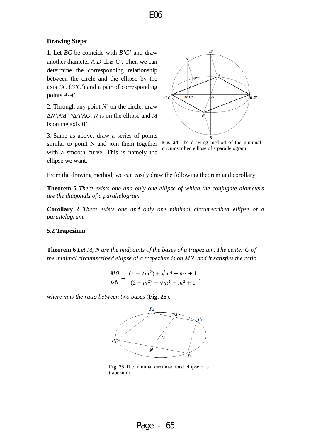### **Drawing Steps**:

1. Let *BC* be coincide with *B'C'* and draw another diameter *A'D'*⊥*B'C'*. Then we can determine the corresponding relationship between the circle and the ellipse by the axis *BC* (*B'C'*) and a pair of corresponding points *A-A'*.

2. Through any point *N'* on the circle, draw ∆*N'NM*∽∆*A'AO*. *N* is on the ellipse and *M* is on the axis *BC*.

3. Same as above, draw a series of points similar to point N and join them together with a smooth curve. This is namely the ellipse we want.



**Fig. 24** The drawing method of the minimal circumscribed ellipse of a parallelogram

From the drawing method, we can easily draw the following theorem and corollary:

**Theorem 5** *There exists one and only one ellipse of which the conjugate diameters are the diagonals of a parallelogram.*

**Corollary 2** *There exists one and only one minimal circumscribed ellipse of a parallelogram.*

### <span id="page-23-0"></span>**5.2 Trapezium**

**Theorem 6** *Let M, N are the midpoints of the bases of a trapezium. The center O of the minimal circumscribed ellipse of a trapezium is on MN, and it satisfies the ratio* 

$$
\frac{MO}{ON} = \left| \frac{(1-2m^2) + \sqrt{m^4 - m^2 + 1}}{(2-m^2) - \sqrt{m^4 - m^2 + 1}} \right|,
$$

*where m is the ratio between two bases* (**Fig. 25**).



**Fig. 25** The minimal circumscribed ellipse of a trapezium

Page - 65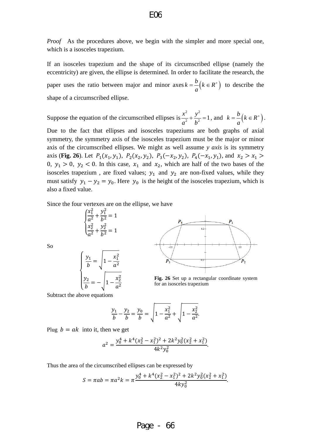*Proof* As the procedures above, we begin with the simpler and more special one, which is a isosceles trapezium.

If an isosceles trapezium and the shape of its circumscribed ellipse (namely the eccentricity) are given, the ellipse is determined. In order to facilitate the research, the paper uses the ratio between major and minor  $a$ xes  $k = \frac{b}{k} (k \in R^+)$ *a*  $=\frac{\nu}{\epsilon}(k \in R^+)$  to describe the shape of a circumscribed ellipse.

Suppose the equation of the circumscribed ellipses is  $rac{x^2}{a^2} + \frac{y^2}{b^2} = 1$  $+\frac{y^2}{l^2}$  = 1, and  $k = -\left(k \in R^+\right)$ *a*  $=\frac{\nu}{\mu}(k \in R^+).$ 

Due to the fact that ellipses and isosceles trapeziums are both graphs of axial symmetry, the symmetry axis of the isosceles trapezium must be the major or minor axis of the circumscribed ellipses. We might as well assume *y axis* is its symmetry axis (**Fig. 26**). Let  $P_1(x_1, y_1)$ ,  $P_2(x_2, y_2)$ ,  $P_3(-x_2, y_2)$ ,  $P_4(-x_1, y_1)$ , and  $x_2 > x_1 >$ 0,  $y_1 > 0$ ,  $y_2 < 0$ . In this case,  $x_1$  and  $x_2$ , which are half of the two bases of the isosceles trapezium, are fixed values;  $y_1$  and  $y_2$  are non-fixed values, while they must satisfy  $y_1 - y_2 = y_0$ . Here  $y_0$  is the height of the isosceles trapezium, which is also a fixed value.

Since the four vertexes are on the ellipse, we have

$$
\begin{cases}\n\frac{x_1^2}{a^2} + \frac{y_1^2}{b^2} = 1\\ \n\frac{x_2^2}{a^2} + \frac{y_2^2}{b^2} = 1\n\end{cases}
$$
\n
$$
\begin{cases}\n\frac{y_1}{b} = \sqrt{1 - \frac{x_1^2}{a^2}}\n\end{cases}
$$

 $\frac{b^2}{b} = -\sqrt{1 - \frac{x_2}{a^2}}$ 



**Fig. 26** Set up a rectangular coordinate system for an isosceles trapezium

 $\overline{\phantom{a}}$ Subtract the above equations

 $\overline{a}$  $\overline{a}$ 

2

 $\overline{a}$ 

$$
\frac{y_1}{b} - \frac{y_2}{b} = \frac{y_0}{b} = \sqrt{1 - \frac{x_1^2}{a^2} + \sqrt{1 - \frac{x_2^2}{a^2}}}.
$$

Plug  $b = ak$  into it, then we get

$$
a^2 = \frac{y_0^4 + k^4(x_2^2 - x_1^2)^2 + 2k^2y_0^2(x_2^2 + x_1^2)}{4k^2y_0^2}.
$$

Thus the area of the circumscribed ellipses can be expressed by

2  $a^2$ 

$$
S = \pi ab = \pi a^2 k = \pi \frac{y_0^4 + k^4 (x_2^2 - x_1^2)^2 + 2k^2 y_0^2 (x_2^2 + x_1^2)}{4k y_0^2}.
$$

So

Page - 66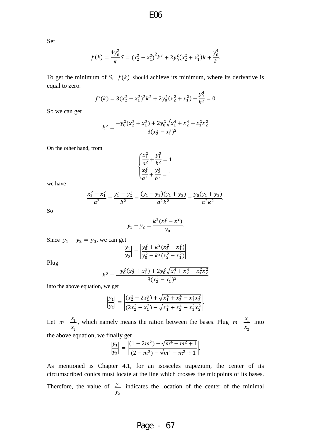Set

$$
f(k) = \frac{4y_0^2}{\pi}S = (x_2^2 - x_1^2)^2k^3 + 2y_0^2(x_2^2 + x_1^2)k + \frac{y_0^4}{k}.
$$

To get the minimum of *S*,  $f(k)$  should achieve its minimum, where its derivative is equal to zero.

$$
f'(k) = 3(x_2^2 - x_1^2)^2 k^2 + 2y_0^2 (x_2^2 + x_1^2) - \frac{y_0^4}{k^2} = 0
$$

So we can get

$$
k^{2} = \frac{-y_{0}^{2}(x_{2}^{2} + x_{1}^{2}) + 2y_{0}^{2}\sqrt{x_{1}^{4} + x_{2}^{4} - x_{1}^{2}x_{2}^{2}}}{3(x_{2}^{2} - x_{1}^{2})^{2}}
$$

On the other hand, from

$$
\begin{cases} \frac{x_1^2}{a^2} + \frac{y_1^2}{b^2} = 1\\ \frac{x_2^2}{a^2} + \frac{y_2^2}{b^2} = 1, \end{cases}
$$

we have

$$
\frac{x_2^2 - x_1^2}{a^2} = \frac{y_1^2 - y_2^2}{b^2} = \frac{(y_1 - y_2)(y_1 + y_2)}{a^2 k^2} = \frac{y_0(y_1 + y_2)}{a^2 k^2}.
$$

So

$$
y_1 + y_2 = \frac{k^2(x_2^2 - x_1^2)}{y_0}.
$$

Since  $y_1 - y_2 = y_0$ , we can get

$$
\left|\frac{y_1}{y_2}\right| = \left|\frac{y_0^2 + k^2(x_2^2 - x_1^2)}{y_0^2 - k^2(x_2^2 - x_1^2)}\right|.
$$

Plug

$$
k^{2} = \frac{-y_{0}^{2}(x_{2}^{2} + x_{1}^{2}) + 2y_{0}^{2}\sqrt{x_{1}^{4} + x_{2}^{4} - x_{1}^{2}x_{2}^{2}}}{3(x_{2}^{2} - x_{1}^{2})^{2}}
$$

into the above equation, we get

$$
\left|\frac{y_1}{y_2}\right| = \left|\frac{(x_2^2 - 2x_1^2) + \sqrt{x_1^4 + x_2^4 - x_1^2 x_2^2}}{(2x_2^2 - x_1^2) - \sqrt{x_1^4 + x_2^4 - x_1^2 x_2^2}}\right|.
$$

Let  $m = \frac{x_1}{x_2}$   $m = \frac{x_1}{x_2}$ , which namely means the ration between the bases. Plug  $m = \frac{x_1}{x_2}$  $m = \frac{x_1}{x_2}$  into the above equation, we finally get

$$
\left|\frac{y_1}{y_2}\right| = \left|\frac{(1-2m^2) + \sqrt{m^4 - m^2 + 1}}{(2-m^2) - \sqrt{m^4 - m^2 + 1}}\right|.
$$

As mentioned is Chapter 4.1, for an isosceles trapezium, the center of its circumscribed conics must locate at the line which crosses the midpoints of its bases. Therefore, the value of  $\frac{y_1}{1}$  *y y* indicates the location of the center of the minimal

# Page - 67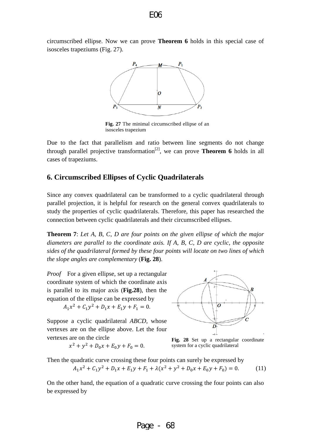circumscribed ellipse. Now we can prove **Theorem 6** holds in this special case of isosceles trapeziums (Fig. 27).



**Fig. 27** The minimal circumscribed ellipse of an isosceles trapezium

Due to the fact that parallelism and ratio between line segments do not change through parallel projective transformation<sup>[2]</sup>, we can prove **Theorem 6** holds in all cases of trapeziums.

### <span id="page-26-0"></span>**6. Circumscribed Ellipses of Cyclic Quadrilaterals**

Since any convex quadrilateral can be transformed to a cyclic quadrilateral through parallel projection, it is helpful for research on the general convex quadrilaterals to study the properties of cyclic quadrilaterals. Therefore, this paper has researched the connection between cyclic quadrilaterals and their circumscribed ellipses.

**Theorem 7**: *Let A, B, C, D are four points on the given ellipse of which the major diameters are parallel to the coordinate axis. If A, B, C, D are cyclic, the opposite sides of the quadrilateral formed by these four points will locate on two lines of which the slope angles are complementary* (**Fig. 28**).

*Proof* For a given ellipse, set up a rectangular coordinate system of which the coordinate axis is parallel to its major axis (**Fig.28**), then the equation of the ellipse can be expressed by

 $A_1x^2 + C_1y^2 + D_1x + E_1y + F_1 = 0.$ 

Suppose a cyclic quadrilateral *ABCD*, whose vertexes are on the ellipse above. Let the four vertexes are on the circle

$$
x^2 + y^2 + D_0 x + E_0 y + F_0 = 0.
$$



**Fig. 28** Set up a rectangular coordinate system for a cyclic quadrilateral

Then the quadratic curve crossing these four points can surely be expressed by  $A_1x^2 + C_1y^2 + D_1x + E_1y + F_1 + \lambda(x^2 + y^2 + D_0x + E_0y + F_0) = 0.$  (11)

On the other hand, the equation of a quadratic curve crossing the four points can also be expressed by

Page 
$$
-68
$$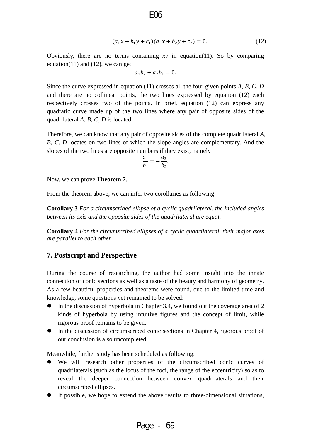$$
(a_1x + b_1y + c_1)(a_2x + b_2y + c_2) = 0.
$$
 (12)

Obviously, there are no terms containing *xy* in equation(11). So by comparing equation(11) and (12), we can get

$$
a_1b_2 + a_2b_1 = 0.
$$

Since the curve expressed in equation (11) crosses all the four given points *A*, *B*, *C*, *D* and there are no collinear points, the two lines expressed by equation (12) each respectively crosses two of the points. In brief, equation (12) can express any quadratic curve made up of the two lines where any pair of opposite sides of the quadrilateral *A*, *B*, *C*, *D* is located.

Therefore, we can know that any pair of opposite sides of the complete quadrilateral *A*, *B*, *C*, *D* locates on two lines of which the slope angles are complementary. And the slopes of the two lines are opposite numbers if they exist, namely

$$
\frac{a_1}{b_1}=-\frac{a_2}{b_2}.
$$

Now, we can prove **Theorem 7**.

From the theorem above, we can infer two corollaries as following:

**Corollary 3** *For a circumscribed ellipse of a cyclic quadrilateral, the included angles between its axis and the opposite sides of the quadrilateral are equal.* 

**Corollary 4** *For the circumscribed ellipses of a cyclic quadrilateral, their major axes are parallel to each other.*

### <span id="page-27-0"></span>**7. Postscript and Perspective**

During the course of researching, the author had some insight into the innate connection of conic sections as well as a taste of the beauty and harmony of geometry. As a few beautiful properties and theorems were found, due to the limited time and knowledge, some questions yet remained to be solved:

- In the discussion of hyperbola in Chapter 3.4, we found out the coverage area of 2 kinds of hyperbola by using intuitive figures and the concept of limit, while rigorous proof remains to be given.
- In the discussion of circumscribed conic sections in Chapter 4, rigorous proof of our conclusion is also uncompleted.

Meanwhile, further study has been scheduled as following:

- We will research other properties of the circumscribed conic curves of quadrilaterals (such as the locus of the foci, the range of the eccentricity) so as to reveal the deeper connection between convex quadrilaterals and their circumscribed ellipses.
- If possible, we hope to extend the above results to three-dimensional situations,